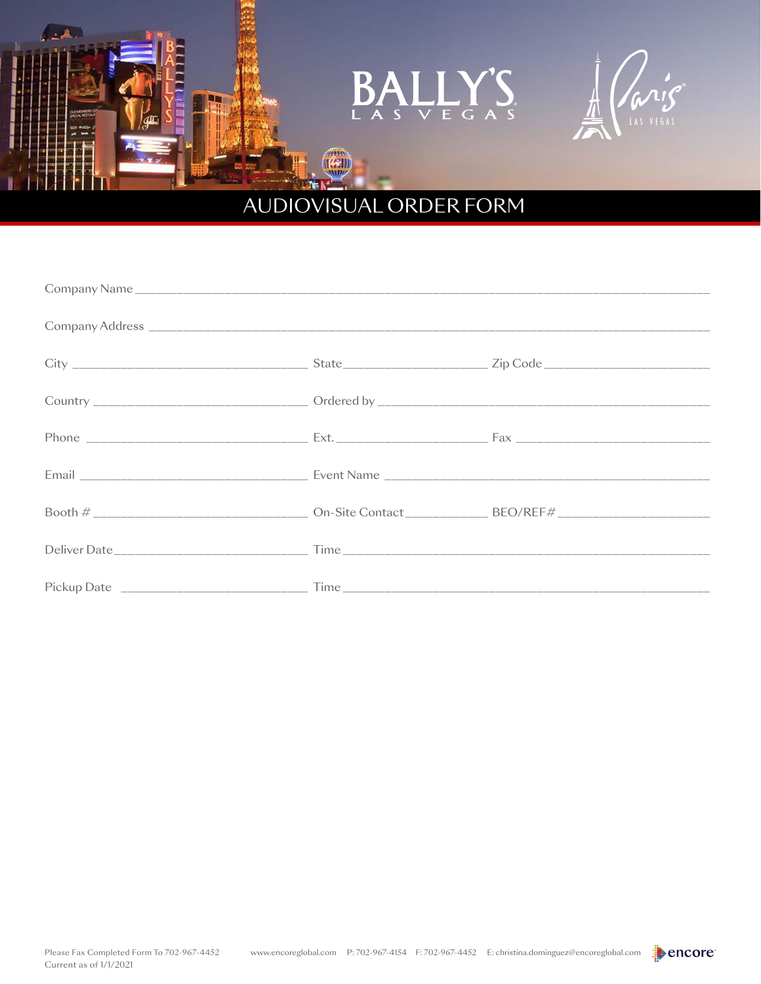# BALLY'S

 $\omega$ 

## AUDIOVISUAL ORDER FORM

æ

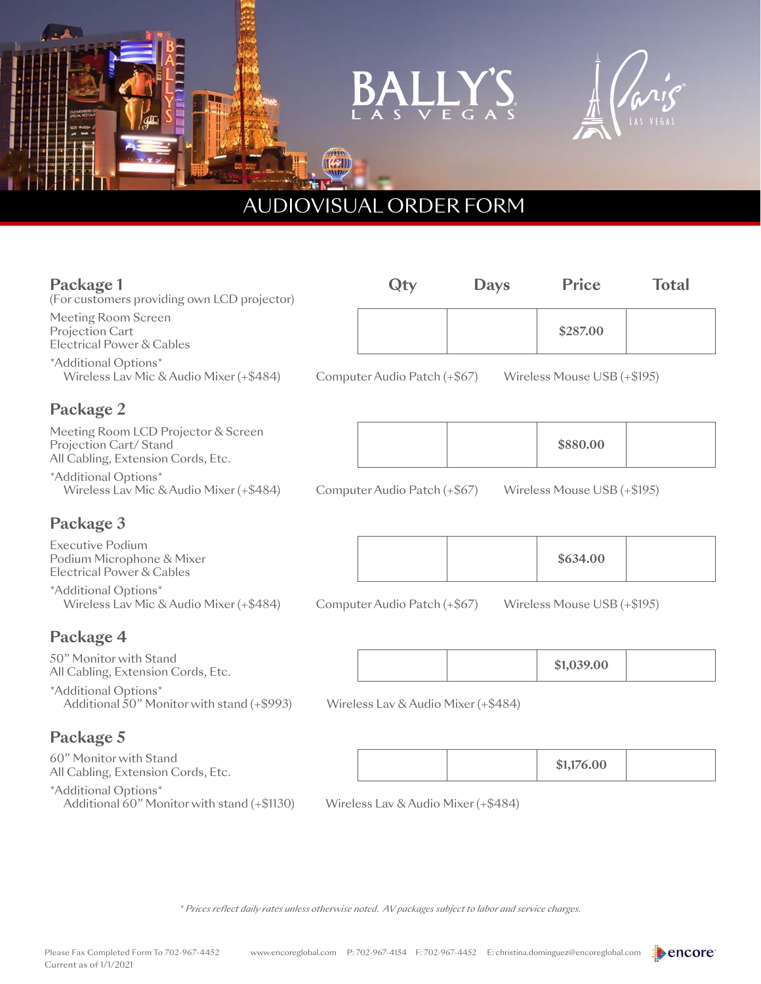# ALLY'S  $\pmb{B}$

## AUDIOVISUAL ORDER FORM

IKBID

| Package 1<br>(For customers providing own LCD projector)                                           | Qty                                 | <b>Days</b> | <b>Price</b>                | <b>Total</b> |
|----------------------------------------------------------------------------------------------------|-------------------------------------|-------------|-----------------------------|--------------|
| Meeting Room Screen<br>Projection Cart<br>Electrical Power & Cables                                |                                     |             | \$287.00                    |              |
| *Additional Options*<br>Wireless Lav Mic & Audio Mixer (+\$484)                                    | Computer Audio Patch (+\$67)        |             | Wireless Mouse USB (+\$195) |              |
| Package 2                                                                                          |                                     |             |                             |              |
| Meeting Room LCD Projector & Screen<br>Projection Cart/Stand<br>All Cabling, Extension Cords, Etc. |                                     |             | \$880.00                    |              |
| *Additional Options*<br>Wireless Lav Mic & Audio Mixer (+\$484)                                    | Computer Audio Patch (+\$67)        |             | Wireless Mouse USB (+\$195) |              |
| Package 3                                                                                          |                                     |             |                             |              |
| <b>Executive Podium</b><br>Podium Microphone & Mixer<br>Electrical Power & Cables                  |                                     |             | \$634.00                    |              |
| *Additional Options*<br>Wireless Lav Mic & Audio Mixer (+\$484)                                    | Computer Audio Patch (+\$67)        |             | Wireless Mouse USB (+\$195) |              |
| Package 4                                                                                          |                                     |             |                             |              |
| 50" Monitor with Stand<br>All Cabling, Extension Cords, Etc.                                       |                                     |             | \$1,039.00                  |              |
| *Additional Options*<br>Additional 50" Monitor with stand (+\$993)                                 | Wireless Lav & Audio Mixer (+\$484) |             |                             |              |
| Package 5                                                                                          |                                     |             |                             |              |
| 60" Monitor with Stand<br>All Cabling, Extension Cords, Etc.                                       |                                     |             | \$1,176.00                  |              |
| *Additional Options*<br>Additional 60" Monitor with stand (+\$1130)                                | Wireless Lav & Audio Mixer (+\$484) |             |                             |              |

*\* Prices reflect daily rates unless otherwise noted. AV packages subject to labor and service charges.*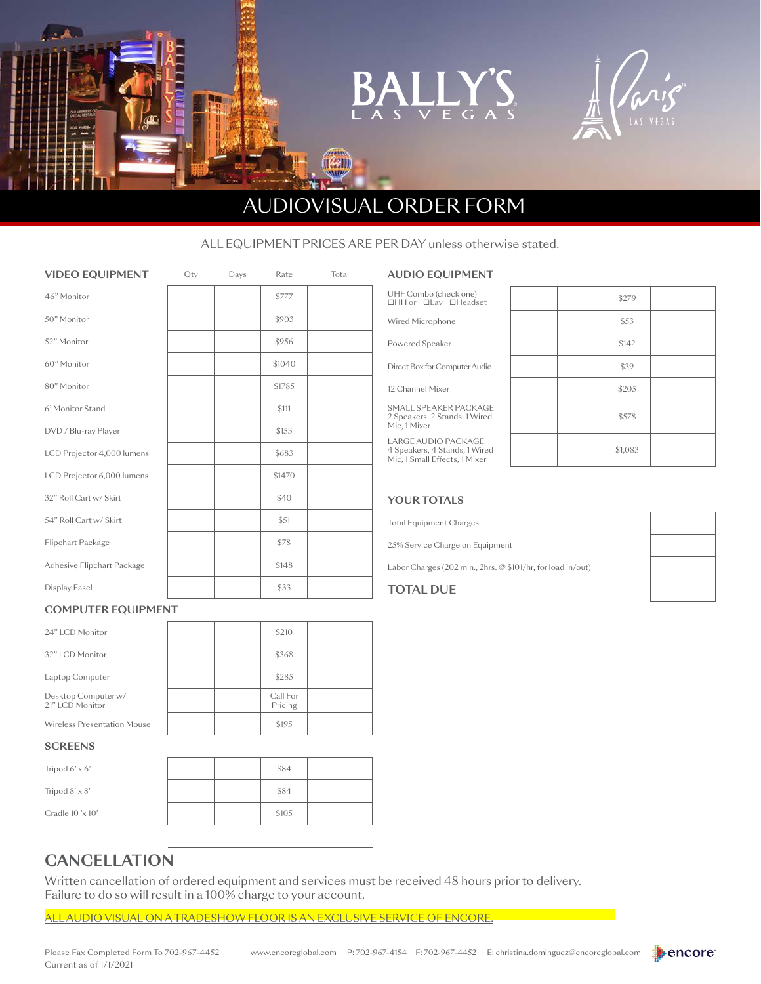## AUDIOVISUAL ORDER FORM

#### ALL EQUIPMENT PRICES ARE PER DAY unless otherwise stated.

| <b>VIDEO EQUIPMENT</b>     | $Q$ ty | Days | Rate   | Total |
|----------------------------|--------|------|--------|-------|
| 46" Monitor                |        |      | \$777  |       |
| 50" Monitor                |        |      | \$903  |       |
| 52" Monitor                |        |      | \$956  |       |
| 60" Monitor                |        |      | \$1040 |       |
| 80" Monitor                |        |      | \$1785 |       |
| 6' Monitor Stand           |        |      | \$111  |       |
| DVD / Blu-ray Player       |        |      | \$153  |       |
| LCD Projector 4,000 lumens |        |      | \$683  |       |
| LCD Projector 6,000 lumens |        |      | \$1470 |       |
| 32" Roll Cart w/ Skirt     |        |      | \$40   |       |
| 54" Roll Cart w/ Skirt     |        |      | \$51   |       |
| Flipchart Package          |        |      | \$78   |       |
| Adhesive Flipchart Package |        |      | \$148  |       |
| Display Easel              |        |      | \$33   |       |

#### **COMPUTER EQUIPMENT**

| 24"   CD Monitor                        |  | \$210               |  |
|-----------------------------------------|--|---------------------|--|
| 32" LCD Monitor                         |  | \$368               |  |
| Laptop Computer                         |  | \$285               |  |
| Desktop Computer w/<br>21"   CD Monitor |  | Call For<br>Pricing |  |
| Wireless Presentation Mouse             |  | \$195               |  |

### **SCREENS**

Tripod  $6' \times 6'$ 

Tripod  $8' \times 8'$ 

Cradle  $10 \times 10'$ 

|  | \$84  |  |
|--|-------|--|
|  | \$84  |  |
|  | \$105 |  |

## **CANCELLATION**

Written cancellation of ordered equipment and services must be received 48 hours prior to delivery. Failure to do so will result in a 100% charge to your account.

ALL AUDIO VISUAL ON A TRADESHOW FLOOR IS AN EXCLUSIVE SERVICE OF ENCORE.

## UHF Combo (check one)  $\Box$ HH or  $\Box$ Lav  $\Box$ Headset Wired Microphone Powered Speaker Direct Box for Computer Audio \$39

12 Channel Mixer

SMALL SPEAKER PACKAGE 2 Speakers, 2 Stands, 1 Wired Mic, 1 Mixer

**AUDIO EQUIPMENT** 

LARGE AUDIO PACKAGE 4 Speakers, 4 Stands, 1 Wired Mic, 1 Small Effects, 1 Mixer

|  | \$279   |  |
|--|---------|--|
|  | \$53    |  |
|  | \$142   |  |
|  | \$39    |  |
|  | \$205   |  |
|  | \$578   |  |
|  | \$1,083 |  |

### **YOUR TOTALS**

Total Equipment Charges

25% Service Charge on Equipment

Labor Charges (202 min., 2hrs. @ \$101/hr, for load in/out)

### **TOTAL DUE**

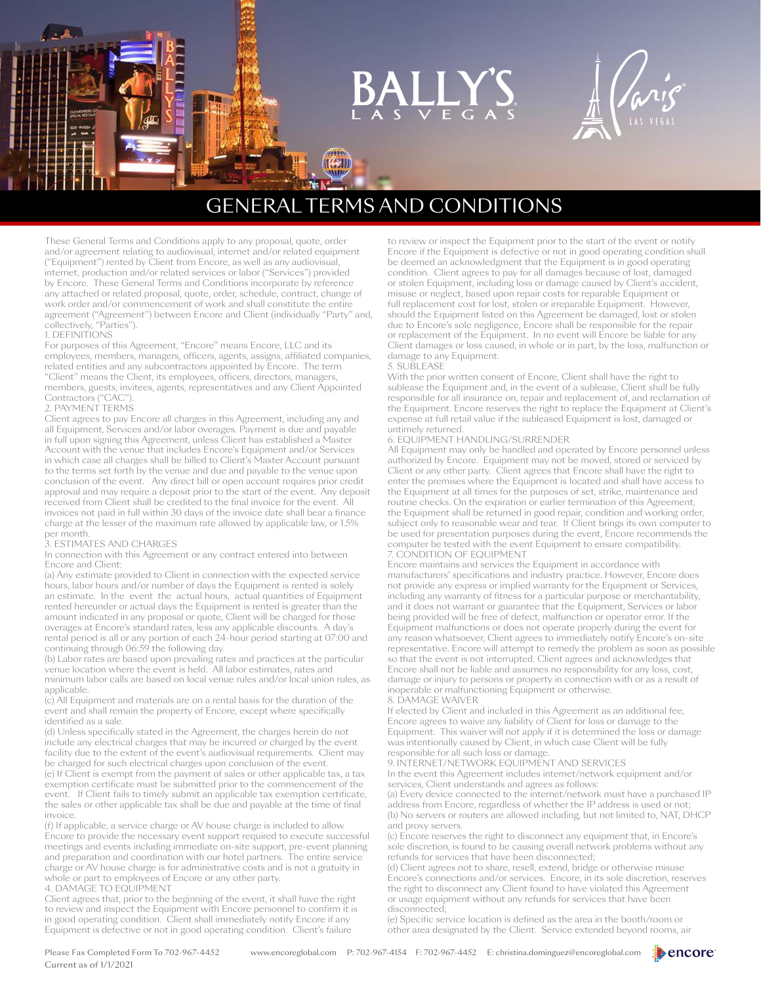# ALL

## GENERAL TERMS AND CONDITIONS

These General Terms and Conditions apply to any proposal, quote, order and/or agreement relating to audiovisual, internet and/or related equipment ("Equipment") rented by Client from Encore, as well as any audiovisual, internet, production and/or related services or labor ("Services") provided by Encore. These General Terms and Conditions incorporate by reference any attached or related proposal, quote, order, schedule, contract, change of work order and/or commencement of work and shall constitute the entire agreement ("Agreement") between Encore and Client (individually "Party" and, collectively, "Parties").

#### 1. DEFINITIONS

For purposes of this Agreement, "Encore" means Encore, LLC and its employees, members, managers, officers, agents, assigns, affiliated companies, related entities and any subcontractors appointed by Encore. The term "Client" means the Client, its employees, officers, directors, managers, members, guests, invitees, agents, representatives and any Client Appointed Contractors ("CAC").

2. PAYMENT TERMS

Client agrees to pay Encore all charges in this Agreement, including any and all Equipment, Services and/or labor overages. Payment is due and payable in full upon signing this Agreement, unless Client has established a Master Account with the venue that includes Encore's Equipment and/or Services in which case all charges shall be billed to Client's Master Account pursuant to the terms set forth by the venue and due and payable to the venue upon conclusion of the event. Any direct bill or open account requires prior credit approval and may require a deposit prior to the start of the event. Any deposit received from Client shall be credited to the final invoice for the event. All invoices not paid in full within 30 days of the invoice date shall bear a finance charge at the lesser of the maximum rate allowed by applicable law, or 1.5% per month.

#### 3. ESTIMATES AND CHARGES

In connection with this Agreement or any contract entered into between Encore and Client:

(a) Any estimate provided to Client in connection with the expected service hours, labor hours and/or number of days the Equipment is rented is solely an estimate. In the event the actual hours, actual quantities of Equipment rented hereunder or actual days the Equipment is rented is greater than the amount indicated in any proposal or quote, Client will be charged for those overages at Encore's standard rates, less any applicable discounts. A day's rental period is all or any portion of each 24-hour period starting at 07:00 and continuing through 06:59 the following day.

(b) Labor rates are based upon prevailing rates and practices at the particular venue location where the event is held. All labor estimates, rates and minimum labor calls are based on local venue rules and/or local union rules, as applicable.

(c) All Equipment and materials are on a rental basis for the duration of the event and shall remain the property of Encore, except where specifically identified as a sale.

(d) Unless specifically stated in the Agreement, the charges herein do not include any electrical charges that may be incurred or charged by the event facility due to the extent of the event's audiovisual requirements. Client may be charged for such electrical charges upon conclusion of the event.

(e) If Client is exempt from the payment of sales or other applicable tax, a tax exemption certificate must be submitted prior to the commencement of the event. If Client fails to timely submit an applicable tax exemption certificate, the sales or other applicable tax shall be due and payable at the time of final invoice.

(f) If applicable, a service charge or AV house charge is included to allow Encore to provide the necessary event support required to execute successful meetings and events including immediate on-site support, pre-event planning and preparation and coordination with our hotel partners. The entire service charge or AV house charge is for administrative costs and is not a gratuity in whole or part to employees of Encore or any other party.

#### 4. DAMAGE TO EQUIPMENT

Client agrees that, prior to the beginning of the event, it shall have the right to review and inspect the Equipment with Encore personnel to confirm it is in good operating condition. Client shall immediately notify Encore if any Equipment is defective or not in good operating condition. Client's failure

to review or inspect the Equipment prior to the start of the event or notify Encore if the Equipment is defective or not in good operating condition shall be deemed an acknowledgment that the Equipment is in good operating condition. Client agrees to pay for all damages because of lost, damaged or stolen Equipment, including loss or damage caused by Client's accident, misuse or neglect, based upon repair costs for reparable Equipment or full replacement cost for lost, stolen or irreparable Equipment. However, should the Equipment listed on this Agreement be damaged, lost or stolen due to Encore's sole negligence, Encore shall be responsible for the repair or replacement of the Equipment. In no event will Encore be liable for any Client damages or loss caused, in whole or in part, by the loss, malfunction or damage to any Equipment.

#### 5. SUBLEASE

With the prior written consent of Encore, Client shall have the right to sublease the Equipment and, in the event of a sublease, Client shall be fully responsible for all insurance on, repair and replacement of, and reclamation of the Equipment. Encore reserves the right to replace the Equipment at Client's expense at full retail value if the subleased Equipment is lost, damaged or untimely returned.

#### 6. EQUIPMENT HANDLING/SURRENDER

All Equipment may only be handled and operated by Encore personnel unless authorized by Encore. Equipment may not be moved, stored or serviced by Client or any other party. Client agrees that Encore shall have the right to enter the premises where the Equipment is located and shall have access to the Equipment at all times for the purposes of set, strike, maintenance and routine checks. On the expiration or earlier termination of this Agreement, the Equipment shall be returned in good repair, condition and working order, subject only to reasonable wear and tear. If Client brings its own computer to be used for presentation purposes during the event, Encore recommends the computer be tested with the event Equipment to ensure compatibility. 7. CONDITION OF EQUIPMENT

Encore maintains and services the Equipment in accordance with manufacturers' specifications and industry practice. However, Encore does not provide any express or implied warranty for the Equipment or Services, including any warranty of fitness for a particular purpose or merchantability, and it does not warrant or guarantee that the Equipment, Services or labor being provided will be free of defect, malfunction or operator error. If the Equipment malfunctions or does not operate properly during the event for any reason whatsoever, Client agrees to immediately notify Encore's on-site representative. Encore will attempt to remedy the problem as soon as possible so that the event is not interrupted. Client agrees and acknowledges that Encore shall not be liable and assumes no responsibility for any loss, cost, damage or injury to persons or property in connection with or as a result of inoperable or malfunctioning Equipment or otherwise.

#### 8. DAMAGE WAIVER

If elected by Client and included in this Agreement as an additional fee, Encore agrees to waive any liability of Client for loss or damage to the Equipment. This waiver will not apply if it is determined the loss or damage was intentionally caused by Client, in which case Client will be fully responsible for all such loss or damage.

#### 9. INTERNET/NETWORK EQUIPMENT AND SERVICES

In the event this Agreement includes internet/network equipment and/or services, Client understands and agrees as follows:

(a) Every device connected to the internet/network must have a purchased IP address from Encore, regardless of whether the IP address is used or not; (b) No servers or routers are allowed including, but not limited to, NAT, DHCP and proxy servers.

(c) Encore reserves the right to disconnect any equipment that, in Encore's sole discretion, is found to be causing overall network problems without any refunds for services that have been disconnected;

(d) Client agrees not to share, resell, extend, bridge or otherwise misuse Encore's connections and/or services. Encore, in its sole discretion, reserves the right to disconnect any Client found to have violated this Agreement or usage equipment without any refunds for services that have been disconnected;

(e) Specific service location is defined as the area in the booth/room or other area designated by the Client. Service extended beyond rooms, air

Current as of 1/1/2021

Please Fax Completed Form To 702-967-4452 www.encoreglobal.com P: 702-967-4154 F: 702-967-4452 E: christina.dominguez@encoreglobal.com

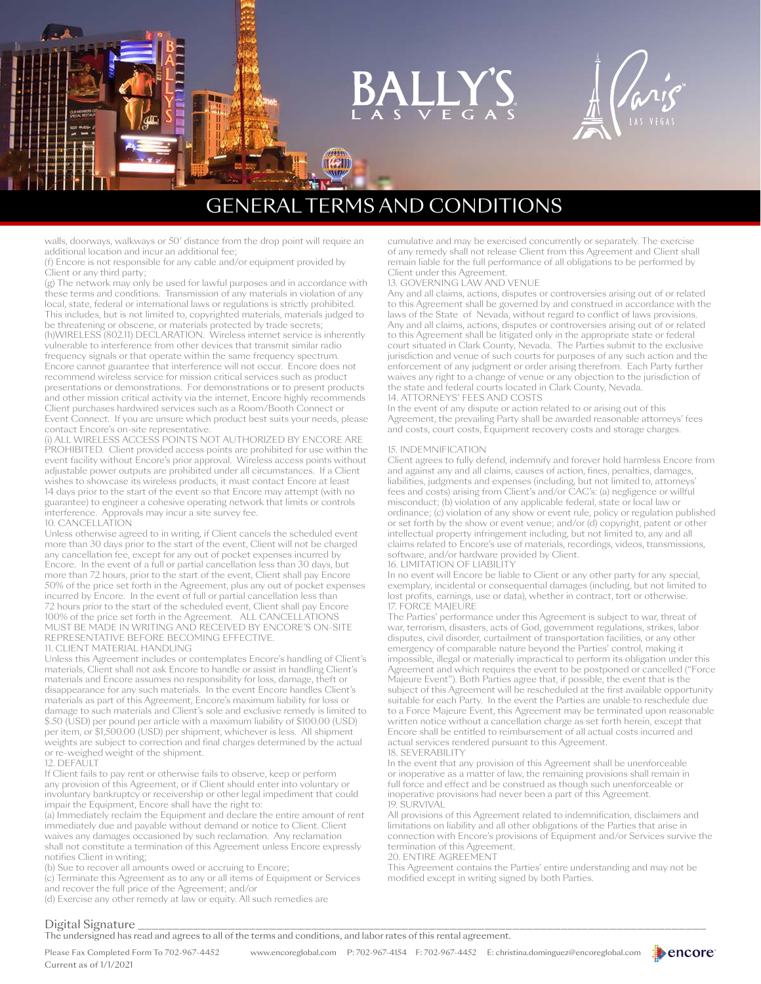## GENERAL TERMS AND CONDITIONS

walls, doorways, walkways or 50' distance from the drop point will require an additional location and incur an additional fee;

(f) Encore is not responsible for any cable and/or equipment provided by Client or any third party;

(g) The network may only be used for lawful purposes and in accordance with these terms and conditions. Transmission of any materials in violation of any local, state, federal or international laws or regulations is strictly prohibited. This includes, but is not limited to, copyrighted materials, materials judged to be threatening or obscene, or materials protected by trade secrets; (h)WIRELESS (802.11) DECLARATION. Wireless internet service is inherently vulnerable to interference from other devices that transmit similar radio frequency signals or that operate within the same frequency spectrum. Encore cannot guarantee that interference will not occur. Encore does not recommend wireless service for mission critical services such as product presentations or demonstrations. For demonstrations or to present products and other mission critical activity via the internet, Encore highly recommends Client purchases hardwired services such as a Room/Booth Connect or Event Connect. If you are unsure which product best suits your needs, please contact Encore's on-site representative.

(i) ALL WIRELESS ACCESS POINTS NOT AUTHORIZED BY ENCORE ARE PROHIBITED. Client provided access points are prohibited for use within the event facility without Encore's prior approval. Wireless access points without adjustable power outputs are prohibited under all circumstances. If a Client wishes to showcase its wireless products, it must contact Encore at least 14 days prior to the start of the event so that Encore may attempt (with no guarantee) to engineer a cohesive operating network that limits or controls interference. Approvals may incur a site survey fee. 10. CANCELLATION

Unless otherwise agreed to in writing, if Client cancels the scheduled event more than 30 days prior to the start of the event, Client will not be charged any cancellation fee, except for any out of pocket expenses incurred by Encore. In the event of a full or partial cancellation less than 30 days, but more than 72 hours, prior to the start of the event, Client shall pay Encore 50% of the price set forth in the Agreement, plus any out of pocket expenses incurred by Encore. In the event of full or partial cancellation less than 72 hours prior to the start of the scheduled event, Client shall pay Encore 100% of the price set forth in the Agreement. ALL CANCELLATIONS MUST BE MADE IN WRITING AND RECEIVED BY ENCORE'S ON-SITE REPRESENTATIVE BEFORE BECOMING EFFECTIVE. 11. CLIENT MATERIAL HANDLING

Unless this Agreement includes or contemplates Encore's handling of Client's materials, Client shall not ask Encore to handle or assist in handling Client's materials and Encore assumes no responsibility for loss, damage, theft or disappearance for any such materials. In the event Encore handles Client's materials as part of this Agreement, Encore's maximum liability for loss or damage to such materials and Client's sole and exclusive remedy is limited to \$.50 (USD) per pound per article with a maximum liability of \$100.00 (USD) per item, or \$1,500.00 (USD) per shipment, whichever is less. All shipment weights are subject to correction and final charges determined by the actual or re-weighed weight of the shipment.

#### 12. DEFAULT

If Client fails to pay rent or otherwise fails to observe, keep or perform any provision of this Agreement, or if Client should enter into voluntary or involuntary bankruptcy or receivership or other legal impediment that could impair the Equipment, Encore shall have the right to:

(a) Immediately reclaim the Equipment and declare the entire amount of rent immediately due and payable without demand or notice to Client. Client waives any damages occasioned by such reclamation. Any reclamation shall not constitute a termination of this Agreement unless Encore expressly notifies Client in writing;

(b) Sue to recover all amounts owed or accruing to Encore;

(c) Terminate this Agreement as to any or all items of Equipment or Services and recover the full price of the Agreement; and/or

(d) Exercise any other remedy at law or equity. All such remedies are

cumulative and may be exercised concurrently or separately. The exercise of any remedy shall not release Client from this Agreement and Client shall remain liable for the full performance of all obligations to be performed by Client under this Agreement.

#### 13. GOVERNING LAW AND VENUE

Any and all claims, actions, disputes or controversies arising out of or related to this Agreement shall be governed by and construed in accordance with the laws of the State of Nevada, without regard to conflict of laws provisions. Any and all claims, actions, disputes or controversies arising out of or related to this Agreement shall be litigated only in the appropriate state or federal court situated in Clark County, Nevada. The Parties submit to the exclusive jurisdiction and venue of such courts for purposes of any such action and the enforcement of any judgment or order arising therefrom. Each Party further waives any right to a change of venue or any objection to the jurisdiction of the state and federal courts located in Clark County, Nevada. 14. ATTORNEYS' FEES AND COSTS

In the event of any dispute or action related to or arising out of this Agreement, the prevailing Party shall be awarded reasonable attorneys' fees and costs, court costs, Equipment recovery costs and storage charges.

#### 15. INDEMNIFICATION

Client agrees to fully defend, indemnify and forever hold harmless Encore from and against any and all claims, causes of action, fines, penalties, damages, liabilities, judgments and expenses (including, but not limited to, attorneys' fees and costs) arising from Client's and/or CAC's: (a) negligence or willful misconduct; (b) violation of any applicable federal, state or local law or ordinance; (c) violation of any show or event rule, policy or regulation published or set forth by the show or event venue; and/or (d) copyright, patent or other intellectual property infringement including, but not limited to, any and all claims related to Encore's use of materials, recordings, videos, transmissions, software, and/or hardware provided by Client. 16. LIMITATION OF LIABILITY

In no event will Encore be liable to Client or any other party for any special, exemplary, incidental or consequential damages (including, but not limited to lost profits, earnings, use or data), whether in contract, tort or otherwise. 17. FORCE MAJEURE

The Parties' performance under this Agreement is subject to war, threat of war, terrorism, disasters, acts of God, government regulations, strikes, labor disputes, civil disorder, curtailment of transportation facilities, or any other emergency of comparable nature beyond the Parties' control, making it impossible, illegal or materially impractical to perform its obligation under this Agreement and which requires the event to be postponed or cancelled ("Force Majeure Event"). Both Parties agree that, if possible, the event that is the subject of this Agreement will be rescheduled at the first available opportunity suitable for each Party. In the event the Parties are unable to reschedule due to a Force Majeure Event, this Agreement may be terminated upon reasonable written notice without a cancellation charge as set forth herein, except that Encore shall be entitled to reimbursement of all actual costs incurred and actual services rendered pursuant to this Agreement. 18. SEVERABILITY

In the event that any provision of this Agreement shall be unenforceable or inoperative as a matter of law, the remaining provisions shall remain in full force and effect and be construed as though such unenforceable or inoperative provisions had never been a part of this Agreement. 19. SURVIVAL

All provisions of this Agreement related to indemnification, disclaimers and limitations on liability and all other obligations of the Parties that arise in connection with Encore's provisions of Equipment and/or Services survive the termination of this Agreement.

20. ENTIRE AGREEMENT

This Agreement contains the Parties' entire understanding and may not be modified except in writing signed by both Parties.

Digital Signature \_\_\_\_\_\_\_\_\_\_\_\_\_\_\_\_\_\_\_\_\_\_\_\_\_\_\_\_\_\_\_\_\_\_\_\_\_\_\_\_\_\_\_\_\_\_\_\_\_\_\_\_\_\_\_\_\_\_\_\_\_\_\_\_\_\_\_\_\_\_\_\_\_\_\_\_\_\_\_\_\_\_ The undersigned has read and agrees to all of the terms and conditions, and labor rates of this rental agreement.

Please Fax Completed Form To 702-967-4452 www.encoreglobal.com P: 702-967-4154 F: 702-967-4452 E: christina.dominguez@encoreglobal.com Current as of 1/1/2021

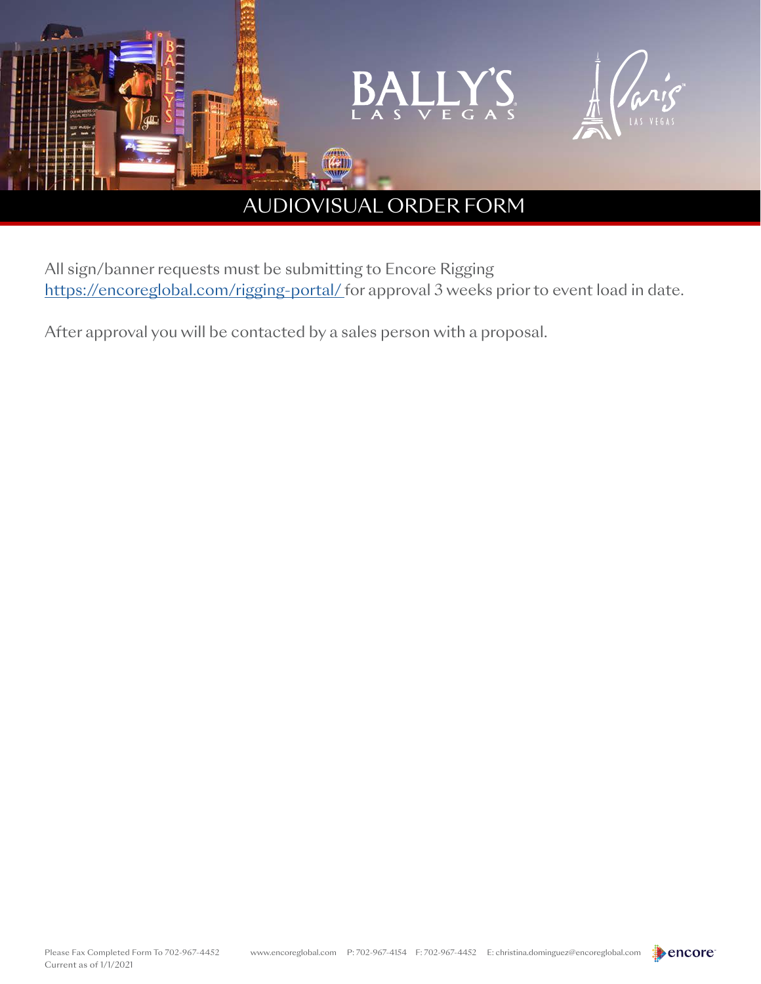

## AUDIOVISUAL ORDER FORM

All sign/banner requests must be submitting to Encore Rigging [https://encoreglobal.com/rigging-portal/](https://encoreglobal.com/rigging-portal/ ) for approval 3 weeks prior to event load in date.

After approval you will be contacted by a sales person with a proposal.